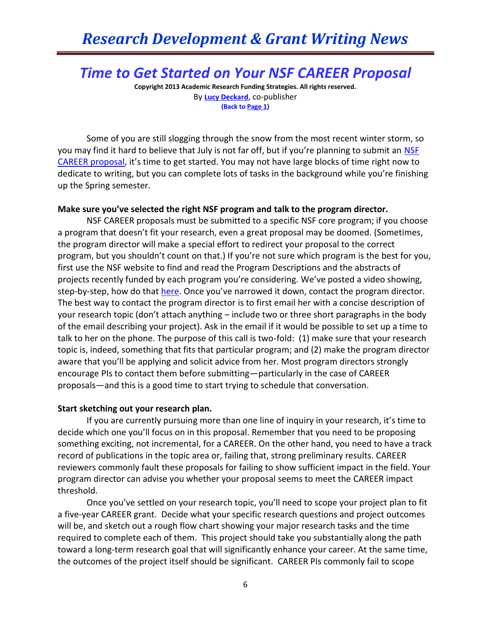# *Research Development & Grant Writing News*

## *Time to Get Started on Your NSF CAREER Proposal*

**Copyright 2013 Academic Research Funding Strategies. All rights reserved.** By **[Lucy Deckard](mailto:LDeckard@academicresearchgrants.com)**, co-publisher **(Back to Page 1)**

Some of you are still slogging through the snow from the most recent winter storm, so you may find it hard to believe that July is not far off, but if you're planning to submit an NSF [CAREER proposal](http://www.nsf.gov/funding/pgm_summ.jsp?pims_id=503214&org=NSF&sel_org=NSF&from=fund), it's time to get started. You may not have large blocks of time right now to dedicate to writing, but you can complete lots of tasks in the background while you're finishing up the Spring semester.

#### **Make sure you've selected the right NSF program and talk to the program director.**

NSF CAREER proposals must be submitted to a specific NSF core program; if you choose a program that doesn't fit your research, even a great proposal may be doomed. (Sometimes, the program director will make a special effort to redirect your proposal to the correct program, but you shouldn't count on that.) If you're not sure which program is the best for you, first use the NSF website to find and read the Program Descriptions and the abstracts of projects recently funded by each program you're considering. We've posted a video showing, step-by-step, how do that [here](http://www.youtube.com/watch?v=s7yqEXPaTdA). Once you've narrowed it down, contact the program director. The best way to contact the program director is to first email her with a concise description of your research topic (don't attach anything – include two or three short paragraphs in the body of the email describing your project). Ask in the email if it would be possible to set up a time to talk to her on the phone. The purpose of this call is two-fold: (1) make sure that your research topic is, indeed, something that fits that particular program; and (2) make the program director aware that you'll be applying and solicit advice from her. Most program directors strongly encourage PIs to contact them before submitting—particularly in the case of CAREER proposals—and this is a good time to start trying to schedule that conversation.

#### **Start sketching out your research plan.**

If you are currently pursuing more than one line of inquiry in your research, it's time to decide which one you'll focus on in this proposal. Remember that you need to be proposing something exciting, not incremental, for a CAREER. On the other hand, you need to have a track record of publications in the topic area or, failing that, strong preliminary results. CAREER reviewers commonly fault these proposals for failing to show sufficient impact in the field. Your program director can advise you whether your proposal seems to meet the CAREER impact threshold.

Once you've settled on your research topic, you'll need to scope your project plan to fit a five-year CAREER grant. Decide what your specific research questions and project outcomes will be, and sketch out a rough flow chart showing your major research tasks and the time required to complete each of them. This project should take you substantially along the path toward a long-term research goal that will significantly enhance your career. At the same time, the outcomes of the project itself should be significant. CAREER PIs commonly fail to scope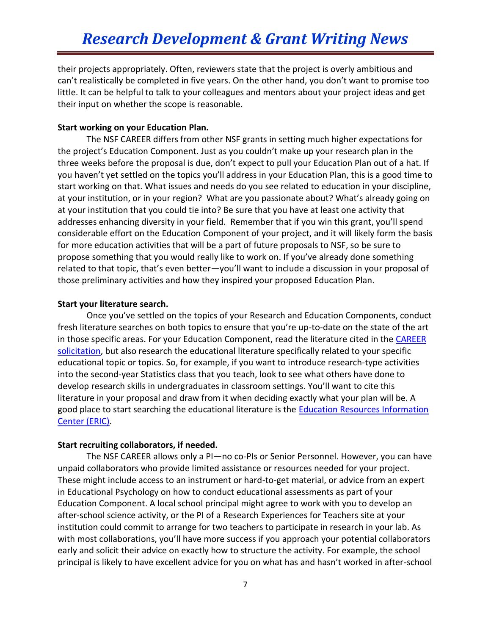their projects appropriately. Often, reviewers state that the project is overly ambitious and can't realistically be completed in five years. On the other hand, you don't want to promise too little. It can be helpful to talk to your colleagues and mentors about your project ideas and get their input on whether the scope is reasonable.

#### **Start working on your Education Plan.**

The NSF CAREER differs from other NSF grants in setting much higher expectations for the project's Education Component. Just as you couldn't make up your research plan in the three weeks before the proposal is due, don't expect to pull your Education Plan out of a hat. If you haven't yet settled on the topics you'll address in your Education Plan, this is a good time to start working on that. What issues and needs do you see related to education in your discipline, at your institution, or in your region? What are you passionate about? What's already going on at your institution that you could tie into? Be sure that you have at least one activity that addresses enhancing diversity in your field. Remember that if you win this grant, you'll spend considerable effort on the Education Component of your project, and it will likely form the basis for more education activities that will be a part of future proposals to NSF, so be sure to propose something that you would really like to work on. If you've already done something related to that topic, that's even better—you'll want to include a discussion in your proposal of those preliminary activities and how they inspired your proposed Education Plan.

#### **Start your literature search.**

Once you've settled on the topics of your Research and Education Components, conduct fresh literature searches on both topics to ensure that you're up-to-date on the state of the art in those specific areas. For your Education Component, read the literature cited in the CAREER [solicitation,](http://www.nsf.gov/pubs/2011/nsf11690/nsf11690.htm) but also research the educational literature specifically related to your specific educational topic or topics. So, for example, if you want to introduce research-type activities into the second-year Statistics class that you teach, look to see what others have done to develop research skills in undergraduates in classroom settings. You'll want to cite this literature in your proposal and draw from it when deciding exactly what your plan will be. A good place to start searching the educational literature is the **Education Resources Information** [Center \(ERIC\).](http://www.eric.ed.gov/)

#### **Start recruiting collaborators, if needed.**

The NSF CAREER allows only a PI—no co-PIs or Senior Personnel. However, you can have unpaid collaborators who provide limited assistance or resources needed for your project. These might include access to an instrument or hard-to-get material, or advice from an expert in Educational Psychology on how to conduct educational assessments as part of your Education Component. A local school principal might agree to work with you to develop an after-school science activity, or the PI of a Research Experiences for Teachers site at your institution could commit to arrange for two teachers to participate in research in your lab. As with most collaborations, you'll have more success if you approach your potential collaborators early and solicit their advice on exactly how to structure the activity. For example, the school principal is likely to have excellent advice for you on what has and hasn't worked in after-school